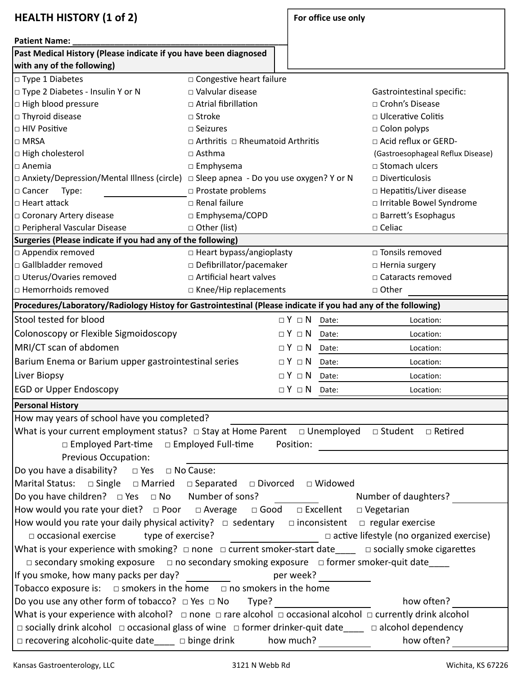| <b>HEALTH HISTORY (1 of 2)</b>                                                                                                 |                                                |  | For office use only        |                         |                                   |  |  |  |  |  |
|--------------------------------------------------------------------------------------------------------------------------------|------------------------------------------------|--|----------------------------|-------------------------|-----------------------------------|--|--|--|--|--|
|                                                                                                                                |                                                |  |                            |                         |                                   |  |  |  |  |  |
| <b>Patient Name:</b>                                                                                                           |                                                |  |                            |                         |                                   |  |  |  |  |  |
| Past Medical History (Please indicate if you have been diagnosed<br>with any of the following)                                 |                                                |  |                            |                         |                                   |  |  |  |  |  |
| $\Box$ Type 1 Diabetes                                                                                                         | □ Congestive heart failure                     |  |                            |                         |                                   |  |  |  |  |  |
| □ Type 2 Diabetes - Insulin Y or N                                                                                             | $\Box$ Valvular disease                        |  | Gastrointestinal specific: |                         |                                   |  |  |  |  |  |
| $\Box$ High blood pressure                                                                                                     | $\Box$ Atrial fibrillation                     |  |                            |                         | □ Crohn's Disease                 |  |  |  |  |  |
| $\Box$ Thyroid disease                                                                                                         | $\Box$ Stroke                                  |  |                            |                         | $\Box$ Ulcerative Colitis         |  |  |  |  |  |
| □ HIV Positive                                                                                                                 | $\Box$ Seizures                                |  |                            |                         | $\Box$ Colon polyps               |  |  |  |  |  |
| $\Box$ MRSA                                                                                                                    | $\Box$ Arthritis $\Box$ Rheumatoid Arthritis   |  |                            |                         | □ Acid reflux or GERD-            |  |  |  |  |  |
| $\Box$ High cholesterol                                                                                                        | $\Box$ Asthma                                  |  |                            |                         | (Gastroesophageal Reflux Disease) |  |  |  |  |  |
| $\Box$ Anemia                                                                                                                  | $\square$ Emphysema                            |  |                            |                         | □ Stomach ulcers                  |  |  |  |  |  |
| $\Box$ Anxiety/Depression/Mental Illness (circle)                                                                              | $\Box$ Sleep apnea - Do you use oxygen? Y or N |  |                            |                         | $\Box$ Diverticulosis             |  |  |  |  |  |
| $\Box$ Cancer<br>Type:                                                                                                         | □ Prostate problems                            |  |                            |                         | □ Hepatitis/Liver disease         |  |  |  |  |  |
| $\Box$ Heart attack                                                                                                            | $\Box$ Renal failure                           |  |                            |                         | □ Irritable Bowel Syndrome        |  |  |  |  |  |
| □ Coronary Artery disease                                                                                                      | □ Emphysema/COPD                               |  |                            |                         | □ Barrett's Esophagus             |  |  |  |  |  |
| p Peripheral Vascular Disease                                                                                                  | □ Other (list)                                 |  |                            |                         | $\square$ Celiac                  |  |  |  |  |  |
| Surgeries (Please indicate if you had any of the following)                                                                    |                                                |  |                            |                         |                                   |  |  |  |  |  |
| $\Box$ Appendix removed                                                                                                        | □ Heart bypass/angioplasty                     |  |                            |                         | □ Tonsils removed                 |  |  |  |  |  |
| $\Box$ Gallbladder removed                                                                                                     | □ Defibrillator/pacemaker                      |  |                            |                         | $\Box$ Hernia surgery             |  |  |  |  |  |
| □ Uterus/Ovaries removed                                                                                                       | □ Artificial heart valves                      |  |                            |                         | □ Cataracts removed               |  |  |  |  |  |
| $\Box$ Hemorrhoids removed                                                                                                     | □ Knee/Hip replacements                        |  |                            |                         | □ Other                           |  |  |  |  |  |
| Procedures/Laboratory/Radiology Histoy for Gastrointestinal (Please indicate if you had any of the following)                  |                                                |  |                            |                         |                                   |  |  |  |  |  |
| Stool tested for blood                                                                                                         |                                                |  | $\Box$ $Y$ $\Box$ $N$      | Date:                   | Location:                         |  |  |  |  |  |
| Colonoscopy or Flexible Sigmoidoscopy                                                                                          |                                                |  |                            | $\Box$ Y $\Box$ N Date: | Location:                         |  |  |  |  |  |
| MRI/CT scan of abdomen                                                                                                         |                                                |  |                            | $\Box$ Y $\Box$ N Date: | Location:                         |  |  |  |  |  |
| Barium Enema or Barium upper gastrointestinal series                                                                           |                                                |  |                            | $\Box$ Y $\Box$ N Date: | Location:                         |  |  |  |  |  |
| Liver Biopsy                                                                                                                   |                                                |  | $\Box$ $Y$ $\Box$ $N$      | Date:                   | Location:                         |  |  |  |  |  |
| <b>EGD or Upper Endoscopy</b>                                                                                                  |                                                |  |                            | $\Box Y \Box N$ Date:   | Location:                         |  |  |  |  |  |
| <b>Personal History</b>                                                                                                        |                                                |  |                            |                         |                                   |  |  |  |  |  |
| How may years of school have you completed?                                                                                    |                                                |  |                            |                         |                                   |  |  |  |  |  |
| What is your current employment status? $\Box$ Stay at Home Parent $\Box$ Unemployed $\Box$ Student $\Box$ Retired             |                                                |  |                            |                         |                                   |  |  |  |  |  |
| $\Box$ Employed Part-time $\Box$ Employed Full-time                                                                            |                                                |  |                            |                         |                                   |  |  |  |  |  |
| <b>Previous Occupation:</b>                                                                                                    |                                                |  |                            |                         |                                   |  |  |  |  |  |
| Do you have a disability? $\Box$ Yes $\Box$ No Cause:                                                                          |                                                |  |                            |                         |                                   |  |  |  |  |  |
| Marital Status: $\Box$ Single $\Box$ Married $\Box$ Separated $\Box$ Divorced $\Box$ Widowed                                   |                                                |  |                            |                         |                                   |  |  |  |  |  |
| Do you have children? $\Box$ Yes $\Box$ No Number of sons?<br>Number of daughters?                                             |                                                |  |                            |                         |                                   |  |  |  |  |  |
| How would you rate your diet? $\Box$ Poor $\Box$ Average $\Box$ Good $\Box$ Excellent<br>$\Box$ Vegetarian                     |                                                |  |                            |                         |                                   |  |  |  |  |  |
| How would you rate your daily physical activity? $\Box$ sedentary $\Box$ inconsistent $\Box$ regular exercise                  |                                                |  |                            |                         |                                   |  |  |  |  |  |
| $\Box$ occasional exercise<br>type of exercise?<br>Dactive lifestyle (no organized exercise)                                   |                                                |  |                            |                         |                                   |  |  |  |  |  |
| What is your experience with smoking? □ none □ current smoker-start date____ □ socially smoke cigarettes                       |                                                |  |                            |                         |                                   |  |  |  |  |  |
|                                                                                                                                |                                                |  |                            |                         |                                   |  |  |  |  |  |
| $\Box$ secondary smoking exposure $\Box$ no secondary smoking exposure $\Box$ former smoker-quit date                          |                                                |  |                            |                         |                                   |  |  |  |  |  |
| If you smoke, how many packs per day? __________<br>per week?                                                                  |                                                |  |                            |                         |                                   |  |  |  |  |  |
| Tobacco exposure is: $\Box$ smokers in the home $\Box$ no smokers in the home                                                  |                                                |  |                            |                         |                                   |  |  |  |  |  |
| Do you use any other form of tobacco? $\Box$ Yes $\Box$ No Type?<br>how often?                                                 |                                                |  |                            |                         |                                   |  |  |  |  |  |
| What is your experience with alcohol? $\Box$ none $\Box$ rare alcohol $\Box$ occasional alcohol $\Box$ currently drink alcohol |                                                |  |                            |                         |                                   |  |  |  |  |  |
| $\Box$ socially drink alcohol $\Box$ occasional glass of wine $\Box$ former drinker-quit date $\Box$ $\Box$ alcohol dependency |                                                |  |                            |                         |                                   |  |  |  |  |  |
| $\Box$ recovering alcoholic-quite date____ $\Box$ binge drink how much?<br>how often?                                          |                                                |  |                            |                         |                                   |  |  |  |  |  |